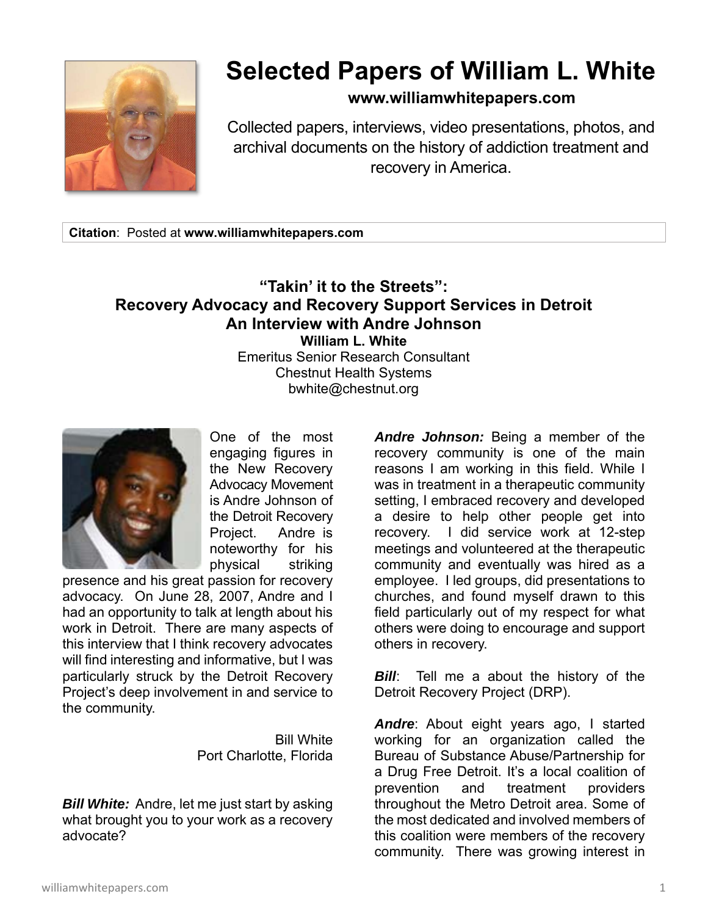

## **Selected Papers of William L. White**

## **www.williamwhitepapers.com**

Collected papers, interviews, video presentations, photos, and archival documents on the history of addiction treatment and recovery in America.

**Citation**: Posted at **www.williamwhitepapers.com** 

## **"Takin' it to the Streets": Recovery Advocacy and Recovery Support Services in Detroit An Interview with Andre Johnson William L. White**  Emeritus Senior Research Consultant Chestnut Health Systems

bwhite@chestnut.org



One of the most engaging figures in the New Recovery Advocacy Movement is Andre Johnson of the Detroit Recovery Project. Andre is noteworthy for his physical striking

presence and his great passion for recovery advocacy. On June 28, 2007, Andre and I had an opportunity to talk at length about his work in Detroit. There are many aspects of this interview that I think recovery advocates will find interesting and informative, but I was particularly struck by the Detroit Recovery Project's deep involvement in and service to the community.

> Bill White Port Charlotte, Florida

*Bill White:* Andre, let me just start by asking what brought you to your work as a recovery advocate?

*Andre Johnson:* Being a member of the recovery community is one of the main reasons I am working in this field. While I was in treatment in a therapeutic community setting, I embraced recovery and developed a desire to help other people get into recovery. I did service work at 12-step meetings and volunteered at the therapeutic community and eventually was hired as a employee. I led groups, did presentations to churches, and found myself drawn to this field particularly out of my respect for what others were doing to encourage and support others in recovery.

*Bill*: Tell me a about the history of the Detroit Recovery Project (DRP).

*Andre*: About eight years ago, I started working for an organization called the Bureau of Substance Abuse/Partnership for a Drug Free Detroit. It's a local coalition of prevention and treatment providers throughout the Metro Detroit area. Some of the most dedicated and involved members of this coalition were members of the recovery community. There was growing interest in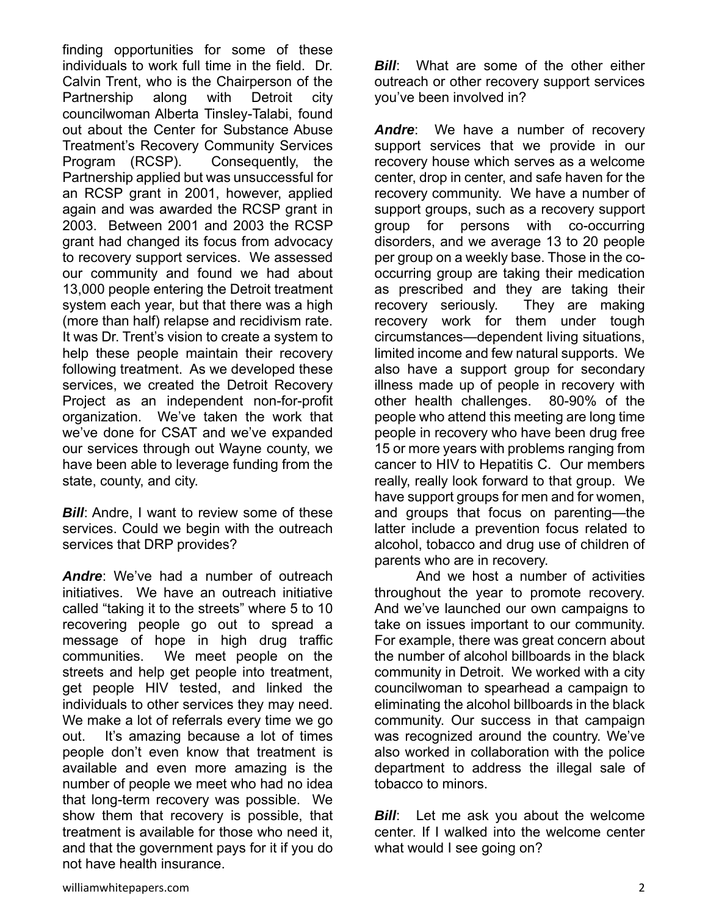finding opportunities for some of these individuals to work full time in the field. Dr. Calvin Trent, who is the Chairperson of the Partnership along with Detroit city councilwoman Alberta Tinsley-Talabi, found out about the Center for Substance Abuse Treatment's Recovery Community Services Program (RCSP). Consequently, the Partnership applied but was unsuccessful for an RCSP grant in 2001, however, applied again and was awarded the RCSP grant in 2003. Between 2001 and 2003 the RCSP grant had changed its focus from advocacy to recovery support services. We assessed our community and found we had about 13,000 people entering the Detroit treatment system each year, but that there was a high (more than half) relapse and recidivism rate. It was Dr. Trent's vision to create a system to help these people maintain their recovery following treatment. As we developed these services, we created the Detroit Recovery Project as an independent non-for-profit organization. We've taken the work that we've done for CSAT and we've expanded our services through out Wayne county, we have been able to leverage funding from the state, county, and city.

*Bill:* Andre, I want to review some of these services. Could we begin with the outreach services that DRP provides?

*Andre*: We've had a number of outreach initiatives. We have an outreach initiative called "taking it to the streets" where 5 to 10 recovering people go out to spread a message of hope in high drug traffic communities. We meet people on the streets and help get people into treatment, get people HIV tested, and linked the individuals to other services they may need. We make a lot of referrals every time we go out. It's amazing because a lot of times people don't even know that treatment is available and even more amazing is the number of people we meet who had no idea that long-term recovery was possible. We show them that recovery is possible, that treatment is available for those who need it, and that the government pays for it if you do not have health insurance.

*Bill:* What are some of the other either outreach or other recovery support services you've been involved in?

*Andre*: We have a number of recovery support services that we provide in our recovery house which serves as a welcome center, drop in center, and safe haven for the recovery community. We have a number of support groups, such as a recovery support group for persons with co-occurring disorders, and we average 13 to 20 people per group on a weekly base. Those in the cooccurring group are taking their medication as prescribed and they are taking their recovery seriously. They are making recovery work for them under tough circumstances—dependent living situations, limited income and few natural supports. We also have a support group for secondary illness made up of people in recovery with other health challenges. 80-90% of the people who attend this meeting are long time people in recovery who have been drug free 15 or more years with problems ranging from cancer to HIV to Hepatitis C. Our members really, really look forward to that group. We have support groups for men and for women, and groups that focus on parenting—the latter include a prevention focus related to alcohol, tobacco and drug use of children of parents who are in recovery.

 And we host a number of activities throughout the year to promote recovery. And we've launched our own campaigns to take on issues important to our community. For example, there was great concern about the number of alcohol billboards in the black community in Detroit. We worked with a city councilwoman to spearhead a campaign to eliminating the alcohol billboards in the black community. Our success in that campaign was recognized around the country. We've also worked in collaboration with the police department to address the illegal sale of tobacco to minors.

*Bill*: Let me ask you about the welcome center. If I walked into the welcome center what would I see going on?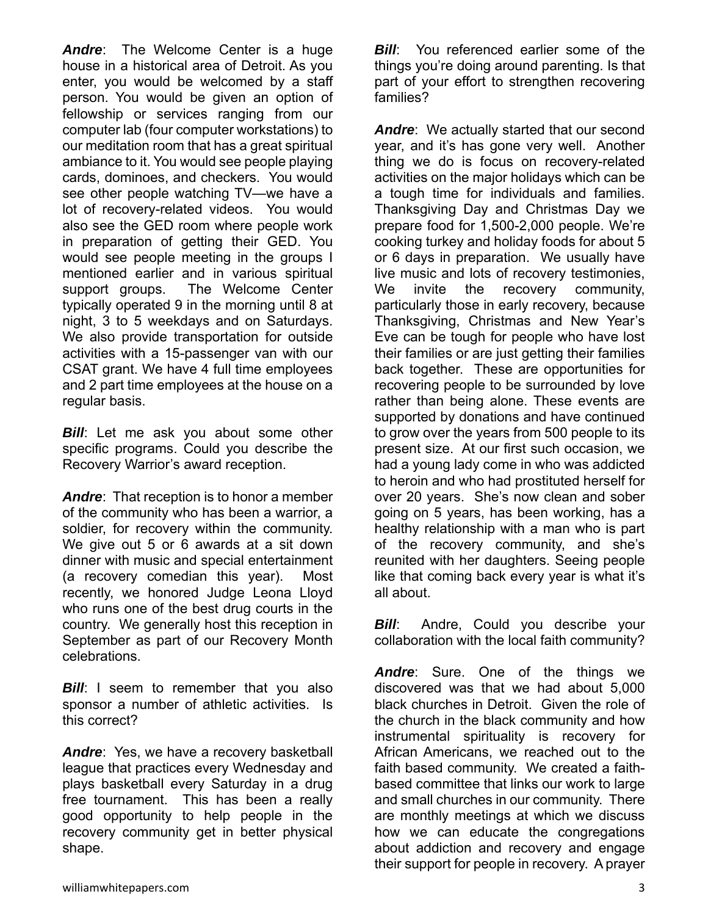*Andre*: The Welcome Center is a huge house in a historical area of Detroit. As you enter, you would be welcomed by a staff person. You would be given an option of fellowship or services ranging from our computer lab (four computer workstations) to our meditation room that has a great spiritual ambiance to it. You would see people playing cards, dominoes, and checkers. You would see other people watching TV—we have a lot of recovery-related videos. You would also see the GED room where people work in preparation of getting their GED. You would see people meeting in the groups I mentioned earlier and in various spiritual support groups. The Welcome Center typically operated 9 in the morning until 8 at night, 3 to 5 weekdays and on Saturdays. We also provide transportation for outside activities with a 15-passenger van with our CSAT grant. We have 4 full time employees and 2 part time employees at the house on a regular basis.

**Bill:** Let me ask you about some other specific programs. Could you describe the Recovery Warrior's award reception.

*Andre*: That reception is to honor a member of the community who has been a warrior, a soldier, for recovery within the community. We give out 5 or 6 awards at a sit down dinner with music and special entertainment (a recovery comedian this year). Most recently, we honored Judge Leona Lloyd who runs one of the best drug courts in the country. We generally host this reception in September as part of our Recovery Month celebrations.

**Bill:** I seem to remember that you also sponsor a number of athletic activities. Is this correct?

*Andre*: Yes, we have a recovery basketball league that practices every Wednesday and plays basketball every Saturday in a drug free tournament. This has been a really good opportunity to help people in the recovery community get in better physical shape.

*Bill***:** You referenced earlier some of the things you're doing around parenting. Is that part of your effort to strengthen recovering families?

*Andre*: We actually started that our second year, and it's has gone very well. Another thing we do is focus on recovery-related activities on the major holidays which can be a tough time for individuals and families. Thanksgiving Day and Christmas Day we prepare food for 1,500-2,000 people. We're cooking turkey and holiday foods for about 5 or 6 days in preparation. We usually have live music and lots of recovery testimonies, We invite the recovery community, particularly those in early recovery, because Thanksgiving, Christmas and New Year's Eve can be tough for people who have lost their families or are just getting their families back together. These are opportunities for recovering people to be surrounded by love rather than being alone. These events are supported by donations and have continued to grow over the years from 500 people to its present size. At our first such occasion, we had a young lady come in who was addicted to heroin and who had prostituted herself for over 20 years. She's now clean and sober going on 5 years, has been working, has a healthy relationship with a man who is part of the recovery community, and she's reunited with her daughters. Seeing people like that coming back every year is what it's all about.

*Bill***:** Andre, Could you describe your collaboration with the local faith community?

*Andre*: Sure. One of the things we discovered was that we had about 5,000 black churches in Detroit. Given the role of the church in the black community and how instrumental spirituality is recovery for African Americans, we reached out to the faith based community. We created a faithbased committee that links our work to large and small churches in our community. There are monthly meetings at which we discuss how we can educate the congregations about addiction and recovery and engage their support for people in recovery. A prayer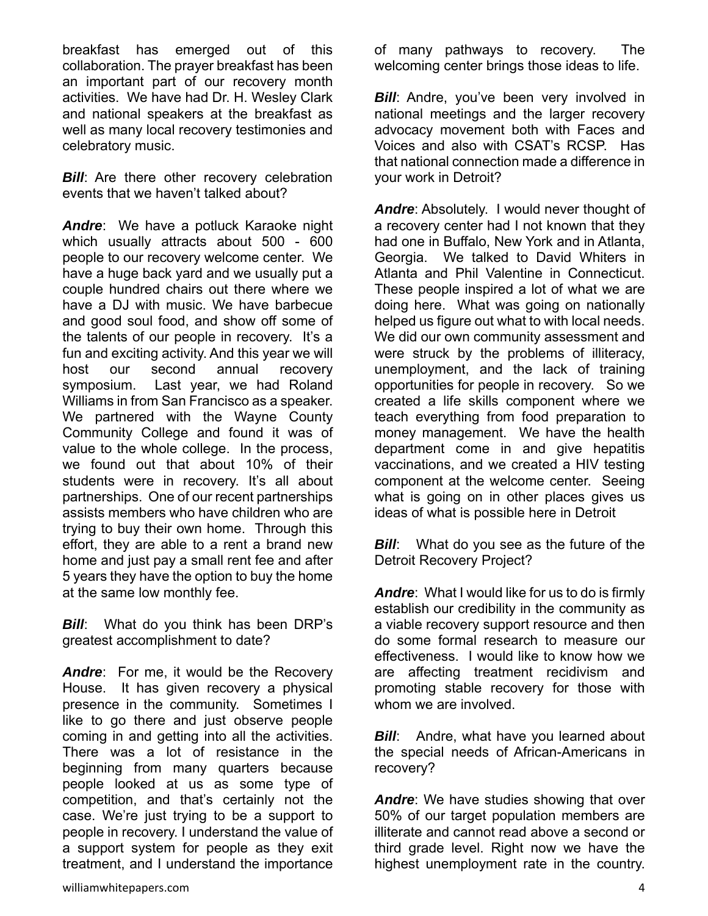breakfast has emerged out of this collaboration. The prayer breakfast has been an important part of our recovery month activities. We have had Dr. H. Wesley Clark and national speakers at the breakfast as well as many local recovery testimonies and celebratory music.

**Bill:** Are there other recovery celebration events that we haven't talked about?

*Andre*: We have a potluck Karaoke night which usually attracts about 500 - 600 people to our recovery welcome center. We have a huge back yard and we usually put a couple hundred chairs out there where we have a DJ with music. We have barbecue and good soul food, and show off some of the talents of our people in recovery. It's a fun and exciting activity. And this year we will host our second annual recovery symposium. Last year, we had Roland Williams in from San Francisco as a speaker. We partnered with the Wayne County Community College and found it was of value to the whole college. In the process, we found out that about 10% of their students were in recovery. It's all about partnerships. One of our recent partnerships assists members who have children who are trying to buy their own home. Through this effort, they are able to a rent a brand new home and just pay a small rent fee and after 5 years they have the option to buy the home at the same low monthly fee.

*Bill***:** What do you think has been DRP's greatest accomplishment to date?

*Andre*: For me, it would be the Recovery House. It has given recovery a physical presence in the community. Sometimes I like to go there and just observe people coming in and getting into all the activities. There was a lot of resistance in the beginning from many quarters because people looked at us as some type of competition, and that's certainly not the case. We're just trying to be a support to people in recovery. I understand the value of a support system for people as they exit treatment, and I understand the importance

of many pathways to recovery. The welcoming center brings those ideas to life.

*Bill*: Andre, you've been very involved in national meetings and the larger recovery advocacy movement both with Faces and Voices and also with CSAT's RCSP. Has that national connection made a difference in your work in Detroit?

*Andre*: Absolutely. I would never thought of a recovery center had I not known that they had one in Buffalo, New York and in Atlanta, Georgia. We talked to David Whiters in Atlanta and Phil Valentine in Connecticut. These people inspired a lot of what we are doing here. What was going on nationally helped us figure out what to with local needs. We did our own community assessment and were struck by the problems of illiteracy, unemployment, and the lack of training opportunities for people in recovery. So we created a life skills component where we teach everything from food preparation to money management. We have the health department come in and give hepatitis vaccinations, and we created a HIV testing component at the welcome center. Seeing what is going on in other places gives us ideas of what is possible here in Detroit

*Bill***:** What do you see as the future of the Detroit Recovery Project?

*Andre*: What I would like for us to do is firmly establish our credibility in the community as a viable recovery support resource and then do some formal research to measure our effectiveness. I would like to know how we are affecting treatment recidivism and promoting stable recovery for those with whom we are involved.

*Bill*: Andre, what have you learned about the special needs of African-Americans in recovery?

*Andre*: We have studies showing that over 50% of our target population members are illiterate and cannot read above a second or third grade level. Right now we have the highest unemployment rate in the country.